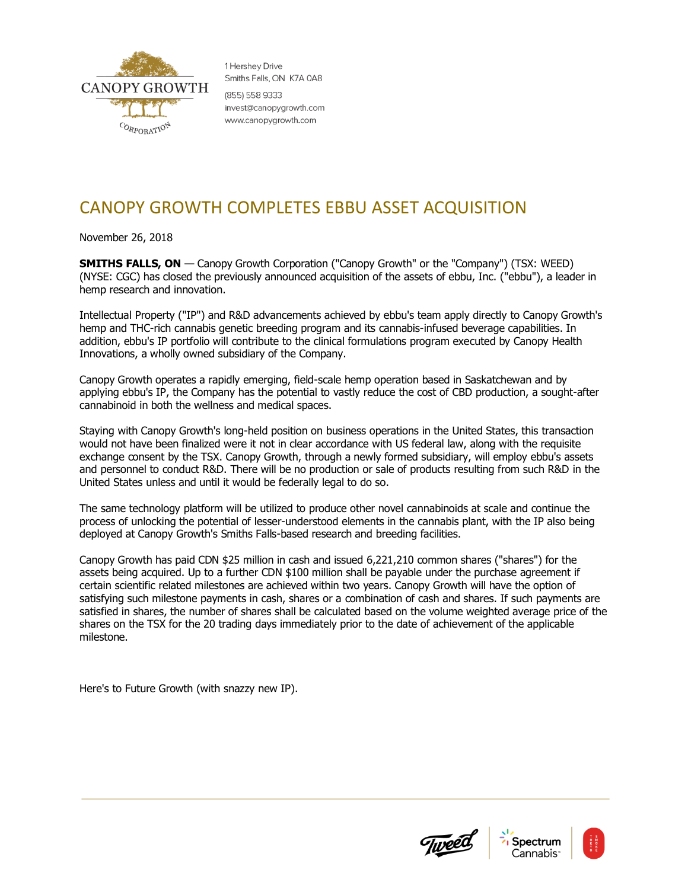

1 Hershev Drive Smiths Falls, ON K7A 0A8 (855) 558 9333 invest@canopygrowth.com www.canopygrowth.com

## CANOPY GROWTH COMPLETES EBBU ASSET ACQUISITION

November 26, 2018

**SMITHS FALLS, ON** — Canopy Growth Corporation ("Canopy Growth" or the "Company") (TSX: WEED) (NYSE: CGC) has closed the previously announced acquisition of the assets of ebbu, Inc. ("ebbu"), a leader in hemp research and innovation.

Intellectual Property ("IP") and R&D advancements achieved by ebbu's team apply directly to Canopy Growth's hemp and THC-rich cannabis genetic breeding program and its cannabis-infused beverage capabilities. In addition, ebbu's IP portfolio will contribute to the clinical formulations program executed by Canopy Health Innovations, a wholly owned subsidiary of the Company.

Canopy Growth operates a rapidly emerging, field-scale hemp operation based in Saskatchewan and by applying ebbu's IP, the Company has the potential to vastly reduce the cost of CBD production, a sought-after cannabinoid in both the wellness and medical spaces.

Staying with Canopy Growth's long-held position on business operations in the United States, this transaction would not have been finalized were it not in clear accordance with US federal law, along with the requisite exchange consent by the TSX. Canopy Growth, through a newly formed subsidiary, will employ ebbu's assets and personnel to conduct R&D. There will be no production or sale of products resulting from such R&D in the United States unless and until it would be federally legal to do so.

The same technology platform will be utilized to produce other novel cannabinoids at scale and continue the process of unlocking the potential of lesser-understood elements in the cannabis plant, with the IP also being deployed at Canopy Growth's Smiths Falls-based research and breeding facilities.

Canopy Growth has paid CDN \$25 million in cash and issued 6,221,210 common shares ("shares") for the assets being acquired. Up to a further CDN \$100 million shall be payable under the purchase agreement if certain scientific related milestones are achieved within two years. Canopy Growth will have the option of satisfying such milestone payments in cash, shares or a combination of cash and shares. If such payments are satisfied in shares, the number of shares shall be calculated based on the volume weighted average price of the shares on the TSX for the 20 trading days immediately prior to the date of achievement of the applicable milestone.

Here's to Future Growth (with snazzy new IP).